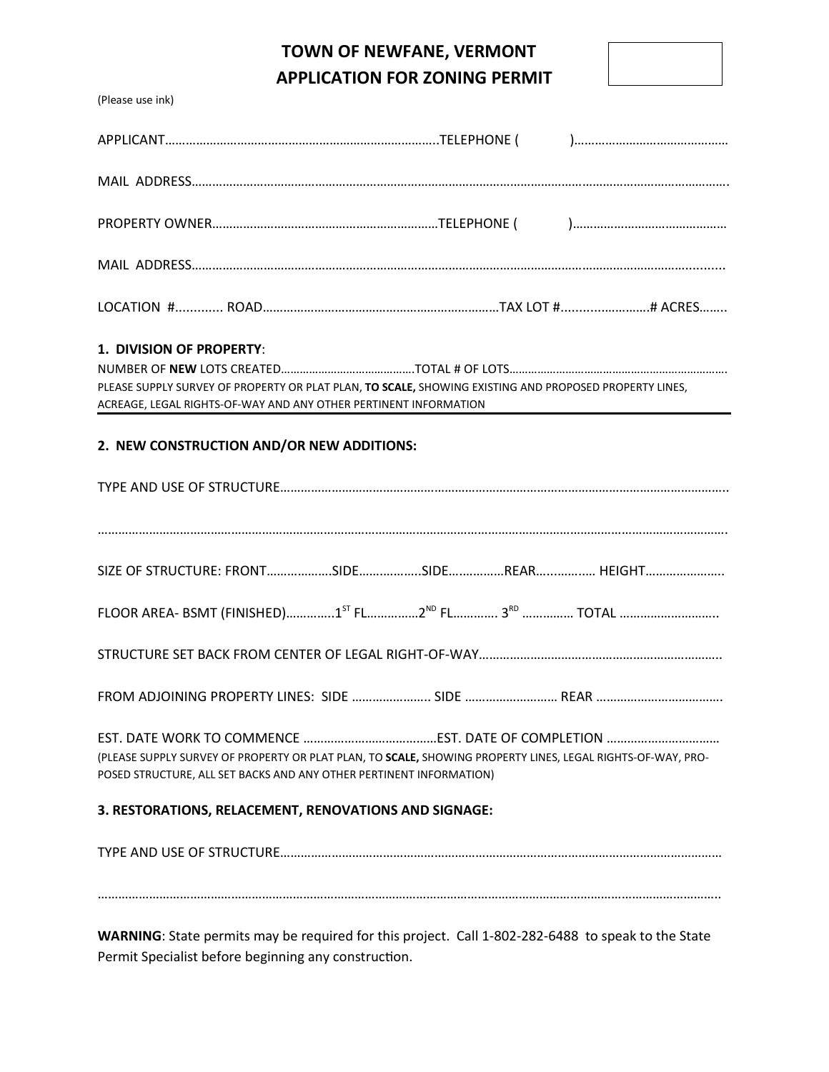# **TOWN OF NEWFANE, VERMONT APPLICATION FOR ZONING PERMIT**

(Please use ink)

| 1. DIVISION OF PROPERTY:<br>PLEASE SUPPLY SURVEY OF PROPERTY OR PLAT PLAN, TO SCALE, SHOWING EXISTING AND PROPOSED PROPERTY LINES,<br>ACREAGE, LEGAL RIGHTS-OF-WAY AND ANY OTHER PERTINENT INFORMATION |  |  |  |  |  |
|--------------------------------------------------------------------------------------------------------------------------------------------------------------------------------------------------------|--|--|--|--|--|
| 2. NEW CONSTRUCTION AND/OR NEW ADDITIONS:                                                                                                                                                              |  |  |  |  |  |
|                                                                                                                                                                                                        |  |  |  |  |  |
|                                                                                                                                                                                                        |  |  |  |  |  |
|                                                                                                                                                                                                        |  |  |  |  |  |
|                                                                                                                                                                                                        |  |  |  |  |  |
|                                                                                                                                                                                                        |  |  |  |  |  |
| (PLEASE SUPPLY SURVEY OF PROPERTY OR PLAT PLAN, TO SCALE, SHOWING PROPERTY LINES, LEGAL RIGHTS-OF-WAY, PRO-<br>POSED STRUCTURE, ALL SET BACKS AND ANY OTHER PERTINENT INFORMATION)                     |  |  |  |  |  |
| 3. RESTORATIONS, RELACEMENT, RENOVATIONS AND SIGNAGE:                                                                                                                                                  |  |  |  |  |  |
|                                                                                                                                                                                                        |  |  |  |  |  |
|                                                                                                                                                                                                        |  |  |  |  |  |
|                                                                                                                                                                                                        |  |  |  |  |  |

**WARNING**: State permits may be required for this project. Call 1-802-282-6488 to speak to the State Permit Specialist before beginning any construction.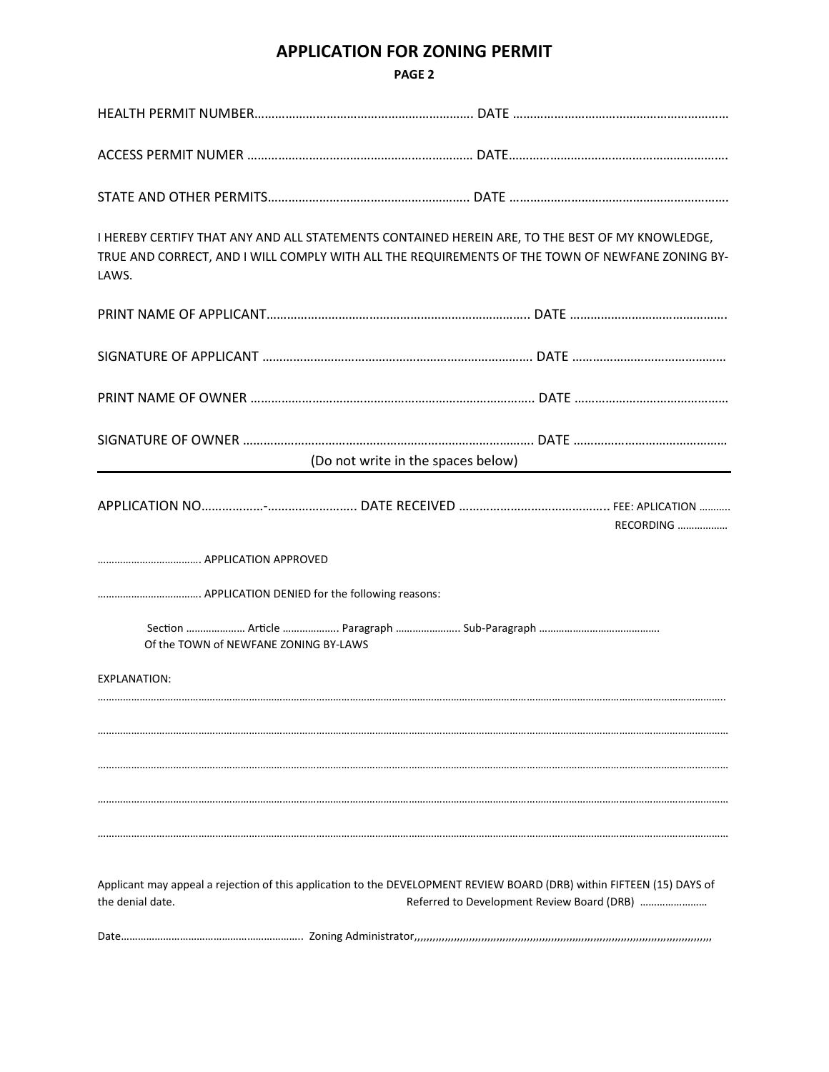### **APPLICATION FOR ZONING PERMIT**

| I HEREBY CERTIFY THAT ANY AND ALL STATEMENTS CONTAINED HEREIN ARE, TO THE BEST OF MY KNOWLEDGE,<br>TRUE AND CORRECT, AND I WILL COMPLY WITH ALL THE REQUIREMENTS OF THE TOWN OF NEWFANE ZONING BY-<br>LAWS. |                                    |                                            |  |  |  |
|-------------------------------------------------------------------------------------------------------------------------------------------------------------------------------------------------------------|------------------------------------|--------------------------------------------|--|--|--|
|                                                                                                                                                                                                             |                                    |                                            |  |  |  |
|                                                                                                                                                                                                             |                                    |                                            |  |  |  |
|                                                                                                                                                                                                             |                                    |                                            |  |  |  |
|                                                                                                                                                                                                             | (Do not write in the spaces below) |                                            |  |  |  |
|                                                                                                                                                                                                             |                                    | <b>RECORDING</b>                           |  |  |  |
|                                                                                                                                                                                                             |                                    |                                            |  |  |  |
|                                                                                                                                                                                                             |                                    |                                            |  |  |  |
| Of the TOWN of NEWFANE ZONING BY-LAWS                                                                                                                                                                       |                                    |                                            |  |  |  |
| <b>EXPLANATION:</b>                                                                                                                                                                                         |                                    |                                            |  |  |  |
|                                                                                                                                                                                                             |                                    |                                            |  |  |  |
|                                                                                                                                                                                                             |                                    |                                            |  |  |  |
|                                                                                                                                                                                                             |                                    |                                            |  |  |  |
|                                                                                                                                                                                                             |                                    |                                            |  |  |  |
| Applicant may appeal a rejection of this application to the DEVELOPMENT REVIEW BOARD (DRB) within FIFTEEN (15) DAYS of<br>the denial date.                                                                  |                                    | Referred to Development Review Board (DRB) |  |  |  |
|                                                                                                                                                                                                             |                                    |                                            |  |  |  |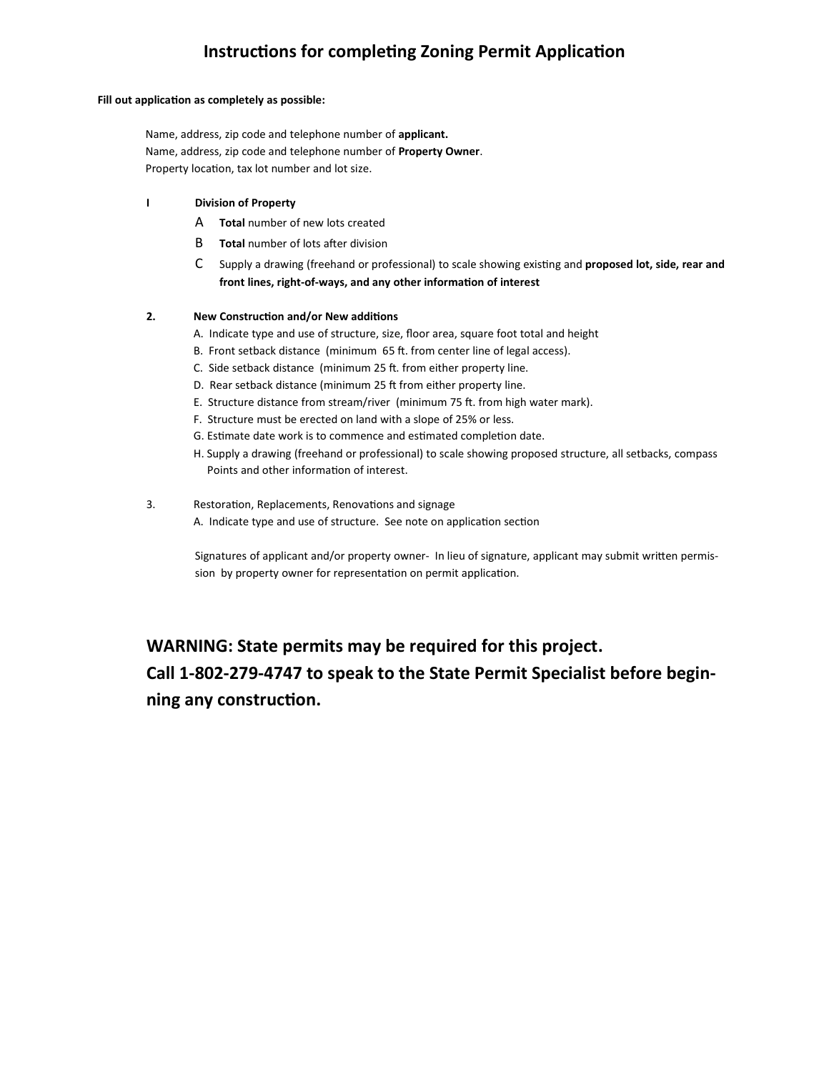## **Instructions for completing Zoning Permit Application**

#### Fill out application as completely as possible:

Name, address, zip code and telephone number of **applicant.** Name, address, zip code and telephone number of **Property Owner**. Property location, tax lot number and lot size.

#### **I Division of Property**

- A **Total** number of new lots created
- **B Total** number of lots after division
- C Supply a drawing (freehand or professional) to scale showing existing and **proposed lot, side, rear and** front lines, right-of-ways, and any other information of interest

#### **2.** New Construction and/or New additions

- A. Indicate type and use of structure, size, floor area, square foot total and height
- B. Front setback distance (minimum 65 ft. from center line of legal access).
- C. Side setback distance (minimum 25 ft. from either property line.
- D. Rear setback distance (minimum 25 ft from either property line.
- E. Structure distance from stream/river (minimum 75 ft. from high water mark).
- F. Structure must be erected on land with a slope of 25% or less.
- G. Estimate date work is to commence and estimated completion date.
- H. Supply a drawing (freehand or professional) to scale showing proposed structure, all setbacks, compass Points and other information of interest.
- 3. Restoration, Replacements, Renovations and signage
	- A. Indicate type and use of structure. See note on application section

Signatures of applicant and/or property owner- In lieu of signature, applicant may submit written permission by property owner for representation on permit application.

**WARNING: State permits may be required for this project. Call 1-802-279-4747 to speak to the State Permit Specialist before beginning any construction.**